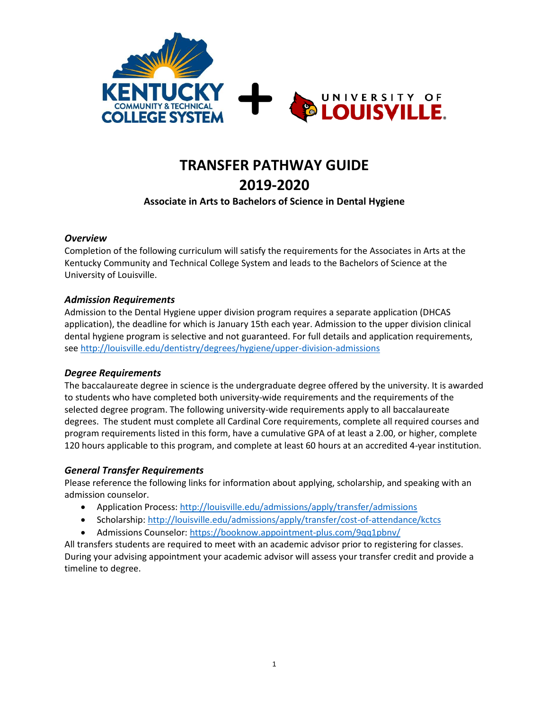

# **TRANSFER PATHWAY GUIDE 2019-2020**

### **Associate in Arts to Bachelors of Science in Dental Hygiene**

### *Overview*

Completion of the following curriculum will satisfy the requirements for the Associates in Arts at the Kentucky Community and Technical College System and leads to the Bachelors of Science at the University of Louisville.

### *Admission Requirements*

Admission to the Dental Hygiene upper division program requires a separate application (DHCAS application), the deadline for which is January 15th each year. Admission to the upper division clinical dental hygiene program is selective and not guaranteed. For full details and application requirements, se[e http://louisville.edu/dentistry/degrees/hygiene/upper-division-admissions](http://louisville.edu/dentistry/degrees/hygiene/upper-division-admissions)

#### *Degree Requirements*

The baccalaureate degree in science is the undergraduate degree offered by the university. It is awarded to students who have completed both university-wide requirements and the requirements of the selected degree program. The following university-wide requirements apply to all baccalaureate degrees. The student must complete all Cardinal Core requirements, complete all required courses and program requirements listed in this form, have a cumulative GPA of at least a 2.00, or higher, complete 120 hours applicable to this program, and complete at least 60 hours at an accredited 4-year institution.

### *General Transfer Requirements*

Please reference the following links for information about applying, scholarship, and speaking with an admission counselor.

- Application Process[: http://louisville.edu/admissions/apply/transfer/admissions](http://louisville.edu/admissions/apply/transfer/admissions)
- Scholarship[: http://louisville.edu/admissions/apply/transfer/cost-of-attendance/kctcs](http://louisville.edu/admissions/apply/transfer/cost-of-attendance/kctcs)
- Admissions Counselor[: https://booknow.appointment-plus.com/9qq1pbnv/](https://booknow.appointment-plus.com/9qq1pbnv/)

All transfers students are required to meet with an academic advisor prior to registering for classes. During your advising appointment your academic advisor will assess your transfer credit and provide a timeline to degree.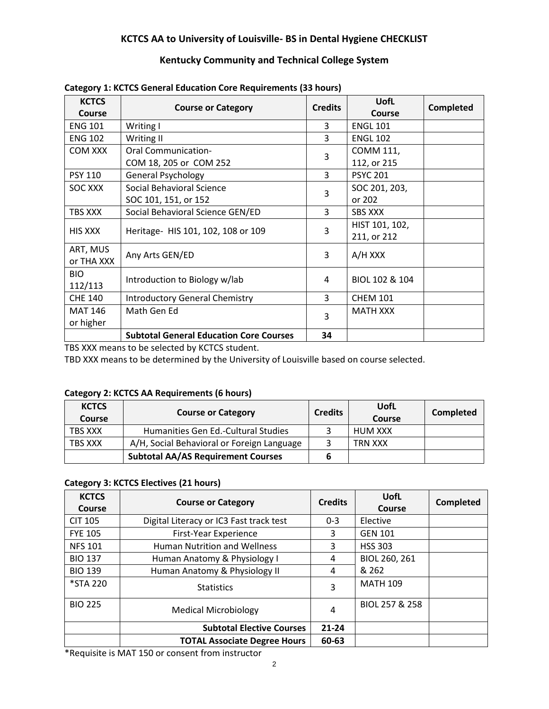### **KCTCS AA to University of Louisville- BS in Dental Hygiene CHECKLIST**

### **Kentucky Community and Technical College System**

| <b>KCTCS</b>   | <b>Course or Category</b>                      | <b>Credits</b> | <b>UofL</b>     | <b>Completed</b> |  |
|----------------|------------------------------------------------|----------------|-----------------|------------------|--|
| Course         |                                                |                | <b>Course</b>   |                  |  |
| <b>ENG 101</b> | Writing I                                      | 3              | <b>ENGL 101</b> |                  |  |
| <b>ENG 102</b> | Writing II                                     | 3              | <b>ENGL 102</b> |                  |  |
| <b>COM XXX</b> | <b>Oral Communication-</b>                     | 3              | COMM 111,       |                  |  |
|                | COM 18, 205 or COM 252                         |                | 112, or 215     |                  |  |
| <b>PSY 110</b> | <b>General Psychology</b>                      | $\overline{3}$ | <b>PSYC 201</b> |                  |  |
| SOC XXX        | Social Behavioral Science                      |                | SOC 201, 203,   |                  |  |
|                | SOC 101, 151, or 152                           | 3              | or 202          |                  |  |
| TBS XXX        | Social Behavioral Science GEN/ED               | 3              | <b>SBS XXX</b>  |                  |  |
| <b>HIS XXX</b> | Heritage- HIS 101, 102, 108 or 109             | 3              | HIST 101, 102,  |                  |  |
|                |                                                |                | 211, or 212     |                  |  |
| ART, MUS       |                                                |                | A/H XXX         |                  |  |
| or THA XXX     | Any Arts GEN/ED                                | 3              |                 |                  |  |
| BIO.           |                                                | 4              | BIOL 102 & 104  |                  |  |
| 112/113        | Introduction to Biology w/lab                  |                |                 |                  |  |
| <b>CHE 140</b> | <b>Introductory General Chemistry</b>          | $\overline{3}$ | <b>CHEM 101</b> |                  |  |
| <b>MAT 146</b> | Math Gen Ed                                    |                | <b>MATH XXX</b> |                  |  |
| or higher      |                                                | 3              |                 |                  |  |
|                | <b>Subtotal General Education Core Courses</b> | 34             |                 |                  |  |

#### **Category 1: KCTCS General Education Core Requirements (33 hours)**

TBS XXX means to be selected by KCTCS student.

TBD XXX means to be determined by the University of Louisville based on course selected.

#### **Category 2: KCTCS AA Requirements (6 hours)**

| <b>KCTCS</b><br><b>Course</b> | <b>Course or Category</b>                  | <b>Credits</b> | UofL<br>Course | Completed |
|-------------------------------|--------------------------------------------|----------------|----------------|-----------|
| TBS XXX                       | Humanities Gen Ed.-Cultural Studies        |                | HUM XXX        |           |
| <b>TBS XXX</b>                | A/H, Social Behavioral or Foreign Language |                | TRN XXX        |           |
|                               | <b>Subtotal AA/AS Requirement Courses</b>  |                |                |           |

### **Category 3: KCTCS Electives (21 hours)**

| <b>KCTCS</b><br>Course | <b>Course or Category</b>               | <b>Credits</b> | UofL<br><b>Course</b> | <b>Completed</b> |
|------------------------|-----------------------------------------|----------------|-----------------------|------------------|
| <b>CIT 105</b>         | Digital Literacy or IC3 Fast track test | $0 - 3$        | Elective              |                  |
| <b>FYE 105</b>         | First-Year Experience                   | 3              | <b>GEN 101</b>        |                  |
| <b>NFS 101</b>         | <b>Human Nutrition and Wellness</b>     | 3              | <b>HSS 303</b>        |                  |
| <b>BIO 137</b>         | Human Anatomy & Physiology I            | 4              | BIOL 260, 261         |                  |
| <b>BIO 139</b>         | Human Anatomy & Physiology II           | 4              | & 262                 |                  |
| *STA 220               | <b>Statistics</b>                       | 3              | <b>MATH 109</b>       |                  |
| <b>BIO 225</b>         | <b>Medical Microbiology</b>             | 4              | BIOL 257 & 258        |                  |
|                        | <b>Subtotal Elective Courses</b>        | $21 - 24$      |                       |                  |
|                        | <b>TOTAL Associate Degree Hours</b>     | 60-63          |                       |                  |

\*Requisite is MAT 150 or consent from instructor